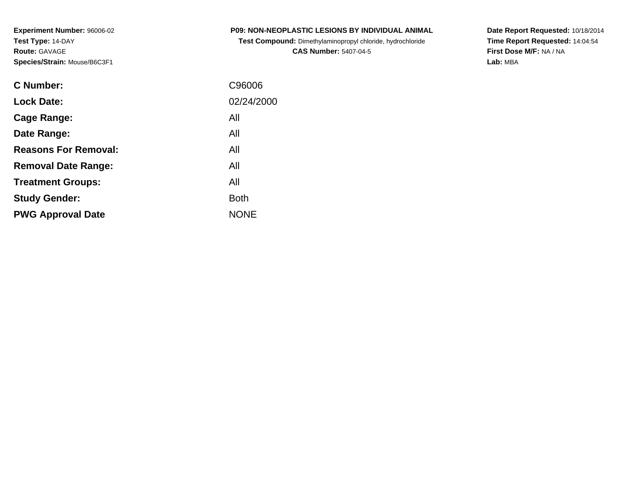| <b>P09: NON-NEOPLASTIC LESIONS BY INDIVIDUAL ANIMAL</b> |
|---------------------------------------------------------|
|---------------------------------------------------------|

**Test Compound:** Dimethylaminopropyl chloride, hydrochloride**CAS Number:** 5407-04-5

**Date Report Requested:** 10/18/2014 **Time Report Requested:** 14:04:54**First Dose M/F:** NA / NA**Lab:** MBA

| <b>C</b> Number:            | C96006      |
|-----------------------------|-------------|
| <b>Lock Date:</b>           | 02/24/2000  |
| Cage Range:                 | All         |
| Date Range:                 | All         |
| <b>Reasons For Removal:</b> | All         |
| <b>Removal Date Range:</b>  | All         |
| <b>Treatment Groups:</b>    | All         |
| <b>Study Gender:</b>        | <b>Both</b> |
| <b>PWG Approval Date</b>    | <b>NONE</b> |
|                             |             |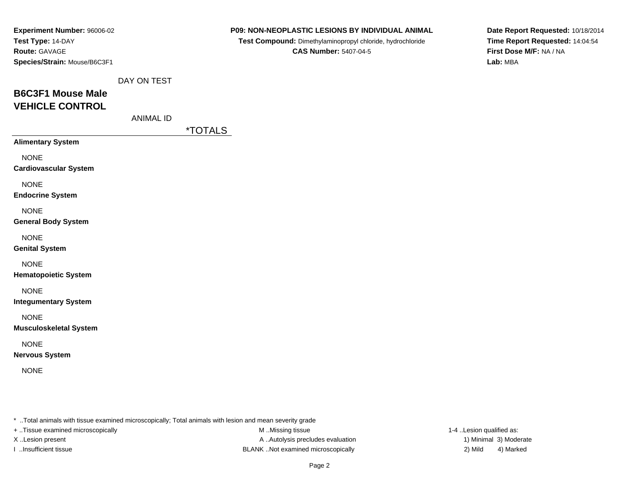| Experiment Number: 96006-02  |
|------------------------------|
| Test Type: 14-DAY            |
| <b>Route: GAVAGE</b>         |
| Species/Strain: Mouse/B6C3F1 |

**Test Compound:** Dimethylaminopropyl chloride, hydrochloride**CAS Number:** 5407-04-5

**Date Report Requested:** 10/18/2014**Time Report Requested:** 14:04:54**First Dose M/F:** NA / NA**Lab:** MBA

|  |  | DAY ON TEST |
|--|--|-------------|
|--|--|-------------|

# **B6C3F1 Mouse MaleVEHICLE CONTROL**

ANIMAL ID

\*TOTALS

**Alimentary System**

NONE

**Cardiovascular System**

NONE

**Endocrine System**

NONE

#### **General Body System**

NONE

#### **Genital System**

NONE

### **Hematopoietic System**

NONE

**Integumentary System**

NONE

### **Musculoskeletal System**

NONE

### **Nervous System**

NONE

\* ..Total animals with tissue examined microscopically; Total animals with lesion and mean severity grade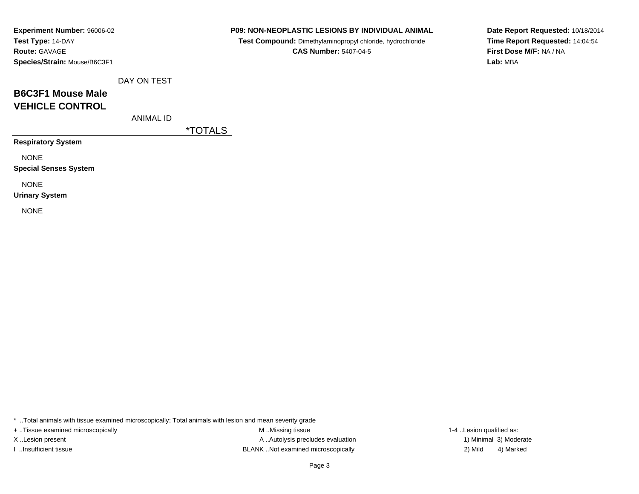### **P09: NON-NEOPLASTIC LESIONS BY INDIVIDUAL ANIMAL**

**Test Compound:** Dimethylaminopropyl chloride, hydrochloride**CAS Number:** 5407-04-5

**Date Report Requested:** 10/18/2014**Time Report Requested:** 14:04:54**First Dose M/F:** NA / NA**Lab:** MBA

DAY ON TEST

## **B6C3F1 Mouse MaleVEHICLE CONTROL**

ANIMAL ID

\*TOTALS

**Respiratory System**

NONE

**Special Senses System**

NONE

**Urinary System**

NONE

\* ..Total animals with tissue examined microscopically; Total animals with lesion and mean severity grade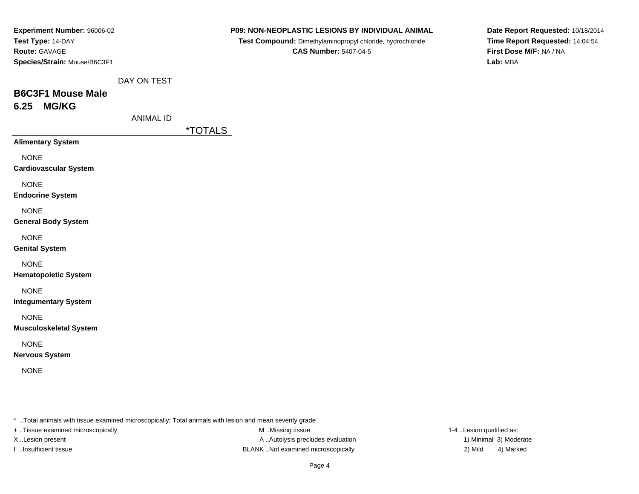| Experiment Number: 96006-02  |
|------------------------------|
| Test Type: 14-DAY            |
| <b>Route: GAVAGE</b>         |
| Species/Strain: Mouse/B6C3F1 |

**Test Compound:** Dimethylaminopropyl chloride, hydrochloride**CAS Number:** 5407-04-5

**Date Report Requested:** 10/18/2014**Time Report Requested:** 14:04:54**First Dose M/F:** NA / NA**Lab:** MBA

DAY ON TEST

# **B6C3F1 Mouse Male6.25 MG/KG**

ANIMAL ID

\*TOTALS

**Alimentary System**

NONE

**Cardiovascular System**

NONE

**Endocrine System**

NONE

### **General Body System**

NONE

**Genital System**

### NONE

**Hematopoietic System**

## NONE

**Integumentary System**

NONE

**Musculoskeletal System**

## NONE

**Nervous System**

NONE

\* ..Total animals with tissue examined microscopically; Total animals with lesion and mean severity grade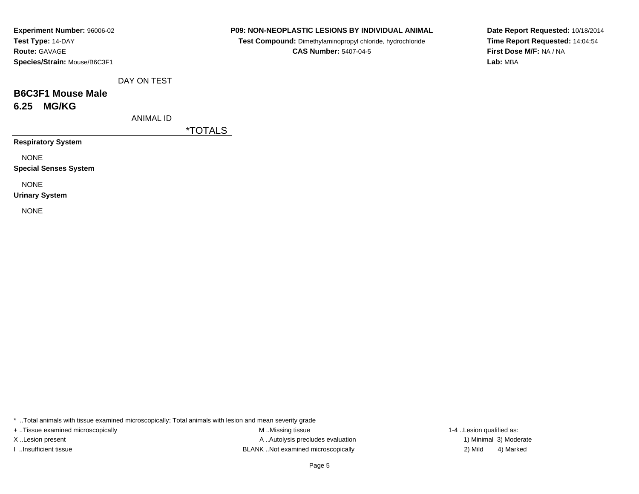## **P09: NON-NEOPLASTIC LESIONS BY INDIVIDUAL ANIMAL**

**Test Compound:** Dimethylaminopropyl chloride, hydrochloride**CAS Number:** 5407-04-5

**Date Report Requested:** 10/18/2014**Time Report Requested:** 14:04:54**First Dose M/F:** NA / NA**Lab:** MBA

DAY ON TEST

# **B6C3F1 Mouse Male6.25 MG/KG**

ANIMAL ID

\*TOTALS

**Respiratory System**

NONE

**Special Senses System**

NONE

**Urinary System**

NONE

\* ..Total animals with tissue examined microscopically; Total animals with lesion and mean severity grade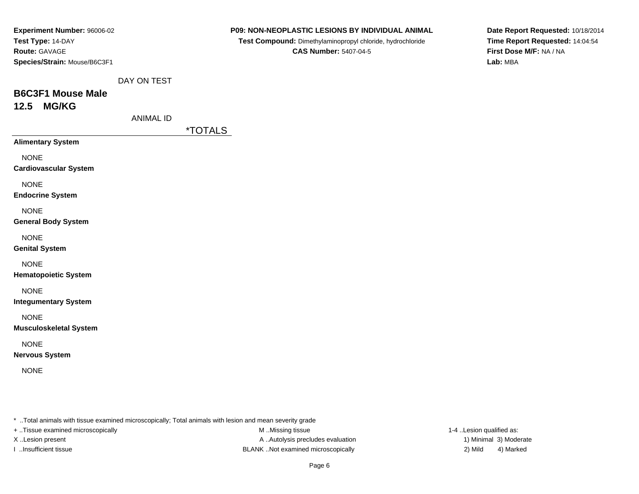| Experiment Number: 96006-02  |
|------------------------------|
| Test Type: 14-DAY            |
| <b>Route: GAVAGE</b>         |
| Species/Strain: Mouse/B6C3F1 |

**Test Compound:** Dimethylaminopropyl chloride, hydrochloride**CAS Number:** 5407-04-5

**Date Report Requested:** 10/18/2014**Time Report Requested:** 14:04:54**First Dose M/F:** NA / NA**Lab:** MBA

DAY ON TEST

## **B6C3F1 Mouse Male12.5 MG/KG**

ANIMAL ID

\*TOTALS

**Alimentary System**

NONE

**Cardiovascular System**

NONE

**Endocrine System**

NONE

## **General Body System**

NONE

**Genital System**

NONE

**Hematopoietic System**

NONE

**Integumentary System**

NONE

**Musculoskeletal System**

NONE

**Nervous System**

NONE

\* ..Total animals with tissue examined microscopically; Total animals with lesion and mean severity grade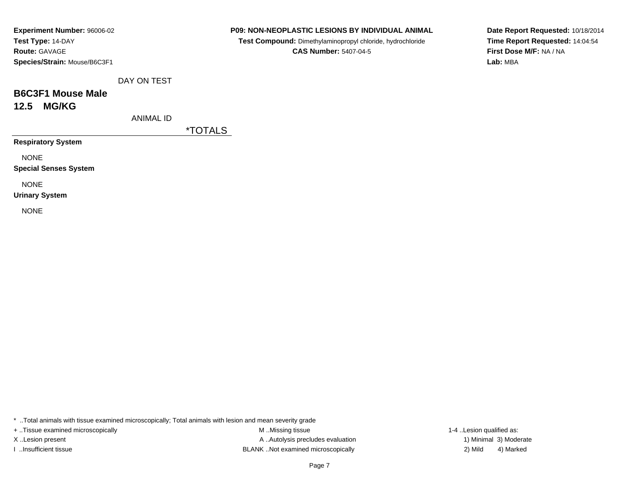## **P09: NON-NEOPLASTIC LESIONS BY INDIVIDUAL ANIMAL**

**Test Compound:** Dimethylaminopropyl chloride, hydrochloride**CAS Number:** 5407-04-5

**Date Report Requested:** 10/18/2014**Time Report Requested:** 14:04:54**First Dose M/F:** NA / NA**Lab:** MBA

DAY ON TEST

## **B6C3F1 Mouse Male12.5 MG/KG**

ANIMAL ID

\*TOTALS

**Respiratory System**

NONE

**Special Senses System**

NONE

**Urinary System**

NONE

\* ..Total animals with tissue examined microscopically; Total animals with lesion and mean severity grade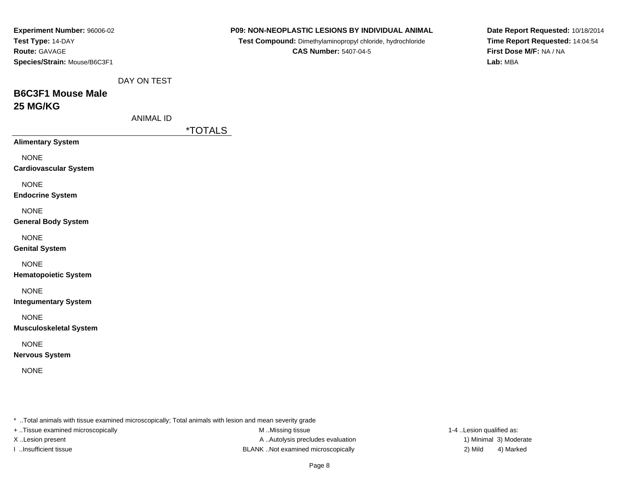| Experiment Number: 96006-02                                                                             |                  |                       | P09: NON-NEOPLASTIC LESIONS BY INDIVIDUAL ANIMAL           | Date Report Requested: 10/18/2014 |
|---------------------------------------------------------------------------------------------------------|------------------|-----------------------|------------------------------------------------------------|-----------------------------------|
| Test Type: 14-DAY                                                                                       |                  |                       | Test Compound: Dimethylaminopropyl chloride, hydrochloride | Time Report Requested: 14:04:54   |
| Route: GAVAGE                                                                                           |                  |                       | <b>CAS Number: 5407-04-5</b>                               | First Dose M/F: NA / NA           |
| Species/Strain: Mouse/B6C3F1                                                                            |                  |                       |                                                            | Lab: MBA                          |
|                                                                                                         | DAY ON TEST      |                       |                                                            |                                   |
| <b>B6C3F1 Mouse Male</b>                                                                                |                  |                       |                                                            |                                   |
| 25 MG/KG                                                                                                |                  |                       |                                                            |                                   |
|                                                                                                         | <b>ANIMAL ID</b> |                       |                                                            |                                   |
|                                                                                                         |                  | <i><b>*TOTALS</b></i> |                                                            |                                   |
| <b>Alimentary System</b>                                                                                |                  |                       |                                                            |                                   |
| <b>NONE</b>                                                                                             |                  |                       |                                                            |                                   |
| <b>Cardiovascular System</b>                                                                            |                  |                       |                                                            |                                   |
| <b>NONE</b>                                                                                             |                  |                       |                                                            |                                   |
| <b>Endocrine System</b>                                                                                 |                  |                       |                                                            |                                   |
| <b>NONE</b>                                                                                             |                  |                       |                                                            |                                   |
| <b>General Body System</b>                                                                              |                  |                       |                                                            |                                   |
| <b>NONE</b>                                                                                             |                  |                       |                                                            |                                   |
| <b>Genital System</b>                                                                                   |                  |                       |                                                            |                                   |
| <b>NONE</b>                                                                                             |                  |                       |                                                            |                                   |
| <b>Hematopoietic System</b>                                                                             |                  |                       |                                                            |                                   |
| <b>NONE</b>                                                                                             |                  |                       |                                                            |                                   |
| <b>Integumentary System</b>                                                                             |                  |                       |                                                            |                                   |
| <b>NONE</b>                                                                                             |                  |                       |                                                            |                                   |
| <b>Musculoskeletal System</b>                                                                           |                  |                       |                                                            |                                   |
| <b>NONE</b>                                                                                             |                  |                       |                                                            |                                   |
| <b>Nervous System</b>                                                                                   |                  |                       |                                                            |                                   |
| <b>NONE</b>                                                                                             |                  |                       |                                                            |                                   |
|                                                                                                         |                  |                       |                                                            |                                   |
|                                                                                                         |                  |                       |                                                            |                                   |
| * Total animals with tissue examined microscopically; Total animals with lesion and mean severity grade |                  |                       |                                                            |                                   |
| + Tissue examined microscopically                                                                       |                  |                       | M Missing tissue                                           | 1-4 Lesion qualified as:          |
| X Lesion present                                                                                        |                  |                       | A  Autolysis precludes evaluation                          | 1) Minimal 3) Moderate            |

I ..Insufficient tissue BLANK ..Not examined microscopically 2) Mild 4) Marked

Page 8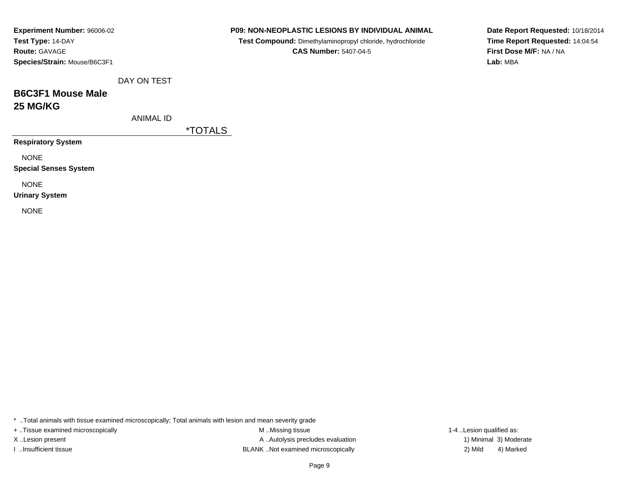| Experiment Number: 96006-02  |
|------------------------------|
| Test Type: 14-DAY            |
| <b>Route: GAVAGE</b>         |
| Species/Strain: Mouse/B6C3F1 |

**Test Compound:** Dimethylaminopropyl chloride, hydrochloride**CAS Number:** 5407-04-5

**Date Report Requested:** 10/18/2014**Time Report Requested:** 14:04:54**First Dose M/F:** NA / NA**Lab:** MBA

DAY ON TEST

## **B6C3F1 Mouse Male25 MG/KG**

ANIMAL ID

\*TOTALS

**Respiratory System**

NONE

**Special Senses System**

NONE

**Urinary System**

NONE

\* ..Total animals with tissue examined microscopically; Total animals with lesion and mean severity grade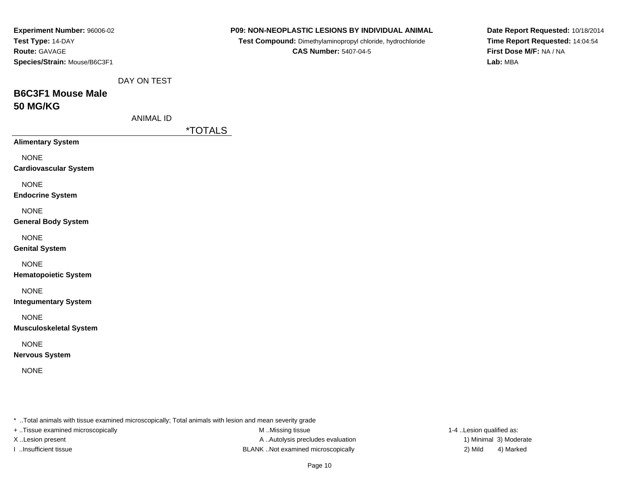| Experiment Number: 96006-02<br>Test Type: 14-DAY<br>Route: GAVAGE<br>Species/Strain: Mouse/B6C3F1       |                  |                       | P09: NON-NEOPLASTIC LESIONS BY INDIVIDUAL ANIMAL<br>Test Compound: Dimethylaminopropyl chloride, hydrochloride<br><b>CAS Number: 5407-04-5</b> |                          | Date Report Requested: 10/18/2014<br>Time Report Requested: 14:04:54<br>First Dose M/F: NA / NA<br>Lab: MBA |
|---------------------------------------------------------------------------------------------------------|------------------|-----------------------|------------------------------------------------------------------------------------------------------------------------------------------------|--------------------------|-------------------------------------------------------------------------------------------------------------|
|                                                                                                         | DAY ON TEST      |                       |                                                                                                                                                |                          |                                                                                                             |
| <b>B6C3F1 Mouse Male</b>                                                                                |                  |                       |                                                                                                                                                |                          |                                                                                                             |
| <b>50 MG/KG</b>                                                                                         |                  |                       |                                                                                                                                                |                          |                                                                                                             |
|                                                                                                         | <b>ANIMAL ID</b> | <i><b>*TOTALS</b></i> |                                                                                                                                                |                          |                                                                                                             |
| <b>Alimentary System</b>                                                                                |                  |                       |                                                                                                                                                |                          |                                                                                                             |
| <b>NONE</b><br><b>Cardiovascular System</b>                                                             |                  |                       |                                                                                                                                                |                          |                                                                                                             |
| <b>NONE</b><br><b>Endocrine System</b>                                                                  |                  |                       |                                                                                                                                                |                          |                                                                                                             |
| <b>NONE</b><br><b>General Body System</b>                                                               |                  |                       |                                                                                                                                                |                          |                                                                                                             |
| <b>NONE</b><br><b>Genital System</b>                                                                    |                  |                       |                                                                                                                                                |                          |                                                                                                             |
| <b>NONE</b><br><b>Hematopoietic System</b>                                                              |                  |                       |                                                                                                                                                |                          |                                                                                                             |
| <b>NONE</b><br><b>Integumentary System</b>                                                              |                  |                       |                                                                                                                                                |                          |                                                                                                             |
| <b>NONE</b><br><b>Musculoskeletal System</b>                                                            |                  |                       |                                                                                                                                                |                          |                                                                                                             |
| <b>NONE</b><br><b>Nervous System</b>                                                                    |                  |                       |                                                                                                                                                |                          |                                                                                                             |
| <b>NONE</b>                                                                                             |                  |                       |                                                                                                                                                |                          |                                                                                                             |
| * Total animals with tissue examined microscopically; Total animals with lesion and mean severity grade |                  |                       |                                                                                                                                                |                          |                                                                                                             |
| + Tissue examined microscopically                                                                       |                  |                       | M Missing tissue                                                                                                                               | 1-4 Lesion qualified as: |                                                                                                             |
| X Lesion present                                                                                        |                  |                       | A  Autolysis precludes evaluation                                                                                                              |                          | 1) Minimal 3) Moderate                                                                                      |

I ..Insufficient tissue BLANK ..Not examined microscopically 2) Mild 4) Marked

Page 10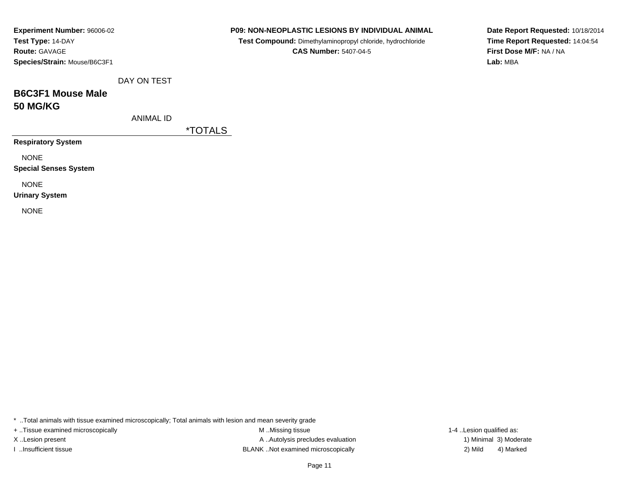| <b>Experiment Number: 96006-02</b> |
|------------------------------------|
| Test Type: 14-DAY                  |
| <b>Route: GAVAGE</b>               |
| Species/Strain: Mouse/B6C3F1       |

**Test Compound:** Dimethylaminopropyl chloride, hydrochloride**CAS Number:** 5407-04-5

**Date Report Requested:** 10/18/2014**Time Report Requested:** 14:04:54**First Dose M/F:** NA / NA**Lab:** MBA

DAY ON TEST

## **B6C3F1 Mouse Male50 MG/KG**

ANIMAL ID

\*TOTALS

**Respiratory System**

NONE

**Special Senses System**

NONE

**Urinary System**

NONE

\* ..Total animals with tissue examined microscopically; Total animals with lesion and mean severity grade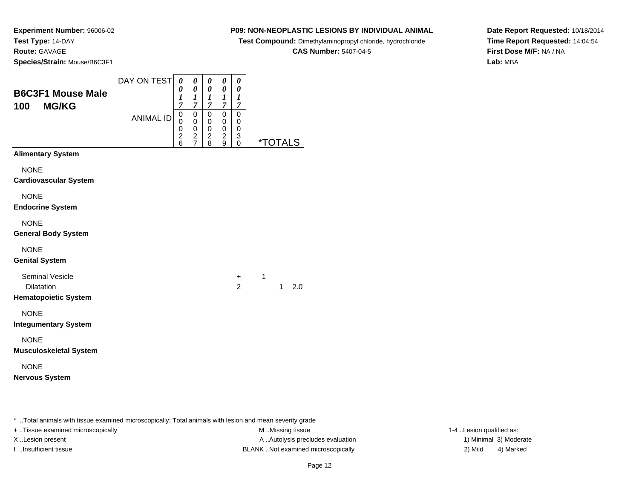## **P09: NON-NEOPLASTIC LESIONS BY INDIVIDUAL ANIMAL**

**Test Compound:** Dimethylaminopropyl chloride, hydrochloride

**CAS Number:** 5407-04-5

**Date Report Requested:** 10/18/2014**Time Report Requested:** 14:04:54**First Dose M/F:** NA / NA**Lab:** MBA

| <b>B6C3F1 Mouse Male</b><br><b>MG/KG</b><br>100 | DAY ON TEST      | $\boldsymbol{\theta}$<br>0<br>1<br>7         | 0<br>$\boldsymbol{\theta}$<br>$\boldsymbol{l}$<br>$\boldsymbol{7}$ | 0<br>$\boldsymbol{\theta}$<br>$\boldsymbol{l}$<br>$\overline{7}$ | 0<br>0<br>1<br>$\overline{7}$                          | 0<br>0<br>1<br>7                       |                       |
|-------------------------------------------------|------------------|----------------------------------------------|--------------------------------------------------------------------|------------------------------------------------------------------|--------------------------------------------------------|----------------------------------------|-----------------------|
|                                                 | <b>ANIMAL ID</b> | $\mathbf 0$<br>0<br>0<br>$\overline{c}$<br>6 | $\mathbf 0$<br>0<br>$\mathbf 0$<br>$\frac{2}{7}$                   | 0<br>0<br>$\mathbf 0$<br>$\frac{2}{8}$                           | $\mathbf 0$<br>0<br>$\mathsf 0$<br>$\overline{c}$<br>9 | $\mathbf 0$<br>0<br>0<br>3<br>$\Omega$ | <i><b>*TOTALS</b></i> |
| <b>Alimentary System</b>                        |                  |                                              |                                                                    |                                                                  |                                                        |                                        |                       |
| <b>NONE</b><br><b>Cardiovascular System</b>     |                  |                                              |                                                                    |                                                                  |                                                        |                                        |                       |
| <b>NONE</b><br><b>Endocrine System</b>          |                  |                                              |                                                                    |                                                                  |                                                        |                                        |                       |
| <b>NONE</b><br><b>General Body System</b>       |                  |                                              |                                                                    |                                                                  |                                                        |                                        |                       |
| <b>NONE</b><br><b>Genital System</b>            |                  |                                              |                                                                    |                                                                  |                                                        |                                        |                       |
| <b>Seminal Vesicle</b><br><b>Dilatation</b>     |                  |                                              |                                                                    |                                                                  |                                                        | $\ddot{}$<br>$\overline{2}$            | 1<br>2.0<br>1         |
| <b>Hematopoietic System</b>                     |                  |                                              |                                                                    |                                                                  |                                                        |                                        |                       |
| <b>NONE</b><br><b>Integumentary System</b>      |                  |                                              |                                                                    |                                                                  |                                                        |                                        |                       |
| <b>NONE</b><br><b>Musculoskeletal System</b>    |                  |                                              |                                                                    |                                                                  |                                                        |                                        |                       |
| <b>NONE</b><br><b>Nervous System</b>            |                  |                                              |                                                                    |                                                                  |                                                        |                                        |                       |
|                                                 |                  |                                              |                                                                    |                                                                  |                                                        |                                        |                       |
|                                                 |                  |                                              |                                                                    |                                                                  |                                                        |                                        |                       |

\* ..Total animals with tissue examined microscopically; Total animals with lesion and mean severity grade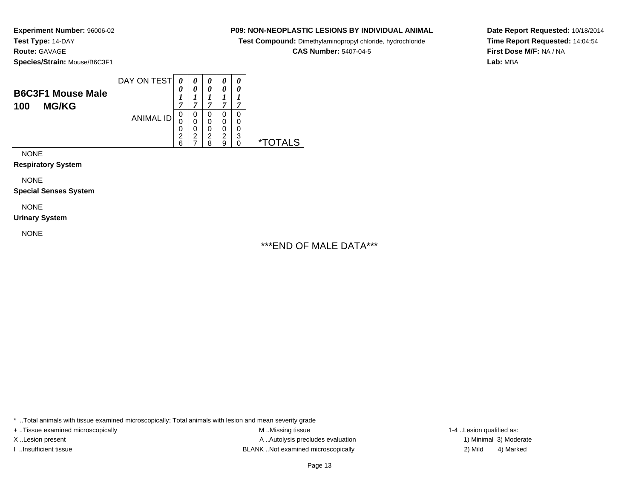### **P09: NON-NEOPLASTIC LESIONS BY INDIVIDUAL ANIMAL**

**Test Compound:** Dimethylaminopropyl chloride, hydrochloride

**CAS Number:** 5407-04-5

**Date Report Requested:** 10/18/2014**Time Report Requested:** 14:04:54**First Dose M/F:** NA / NA**Lab:** MBA

NONE

**Respiratory System**

NONE

**Special Senses System**

NONE

**Urinary System**

NONE

\*\*\*END OF MALE DATA\*\*\*

 $\overline{\phantom{0}}$ 

\* ..Total animals with tissue examined microscopically; Total animals with lesion and mean severity grade

+ ..Tissue examined microscopically examined microscopically examined as:  $M$  ..Missing tissue 1-4 ..Lesion qualified as:

X..Lesion present **A ..Autolysis precludes evaluation** A ..Autolysis precludes evaluation 1) Minimal 3) Moderate I ..Insufficient tissue BLANK ..Not examined microscopically 2) Mild 4) Marked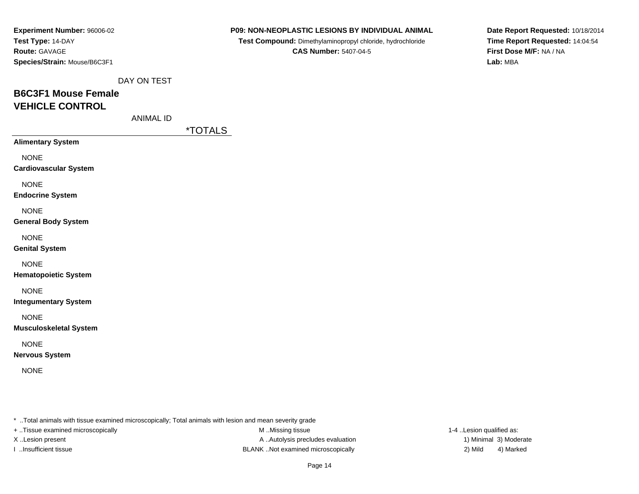| <b>Experiment Number: 96006-02</b> |
|------------------------------------|
| Test Type: 14-DAY                  |
| <b>Route: GAVAGE</b>               |
| Species/Strain: Mouse/B6C3F1       |

**Test Compound:** Dimethylaminopropyl chloride, hydrochloride**CAS Number:** 5407-04-5

**Date Report Requested:** 10/18/2014**Time Report Requested:** 14:04:54**First Dose M/F:** NA / NA**Lab:** MBA

DAY ON TEST

# **B6C3F1 Mouse FemaleVEHICLE CONTROL**

ANIMAL ID

\*TOTALS

**Alimentary System**

NONE

**Cardiovascular System**

NONE

**Endocrine System**

NONE

#### **General Body System**

NONE

#### **Genital System**

NONE

### **Hematopoietic System**

NONE

**Integumentary System**

NONE

### **Musculoskeletal System**

NONE

### **Nervous System**

NONE

\* ..Total animals with tissue examined microscopically; Total animals with lesion and mean severity grade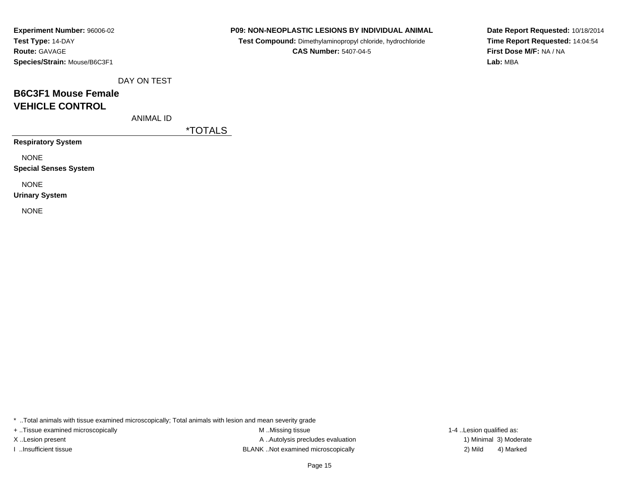## **P09: NON-NEOPLASTIC LESIONS BY INDIVIDUAL ANIMAL**

**Test Compound:** Dimethylaminopropyl chloride, hydrochloride**CAS Number:** 5407-04-5

**Date Report Requested:** 10/18/2014**Time Report Requested:** 14:04:54**First Dose M/F:** NA / NA**Lab:** MBA

DAY ON TEST

# **B6C3F1 Mouse FemaleVEHICLE CONTROL**

ANIMAL ID

\*TOTALS

**Respiratory System**

NONE

**Special Senses System**

NONE

**Urinary System**

NONE

\* ..Total animals with tissue examined microscopically; Total animals with lesion and mean severity grade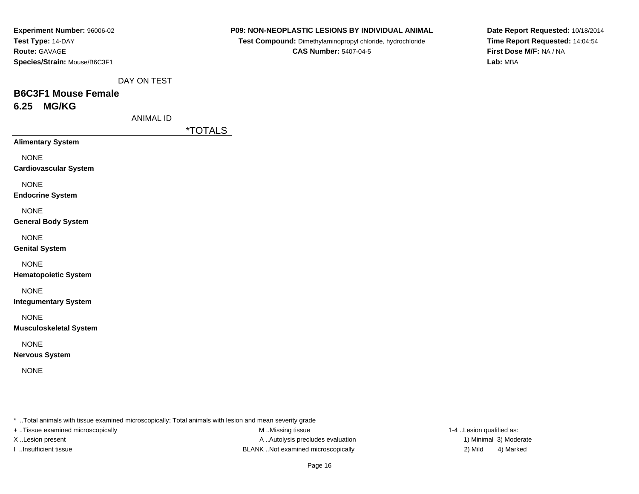| <b>Experiment Number: 96006-02</b> |
|------------------------------------|
| Test Type: 14-DAY                  |
| <b>Route: GAVAGE</b>               |
| Species/Strain: Mouse/B6C3F1       |

**Test Compound:** Dimethylaminopropyl chloride, hydrochloride**CAS Number:** 5407-04-5

**Date Report Requested:** 10/18/2014**Time Report Requested:** 14:04:54**First Dose M/F:** NA / NA**Lab:** MBA

DAY ON TEST

# **B6C3F1 Mouse Female6.25 MG/KG**

ANIMAL ID

\*TOTALS

**Alimentary System**

NONE

**Cardiovascular System**

NONE

**Endocrine System**

NONE

### **General Body System**

NONE

**Genital System**

NONE

**Hematopoietic System**

NONE

**Integumentary System**

NONE

**Musculoskeletal System**

NONE

**Nervous System**

NONE

\* ..Total animals with tissue examined microscopically; Total animals with lesion and mean severity grade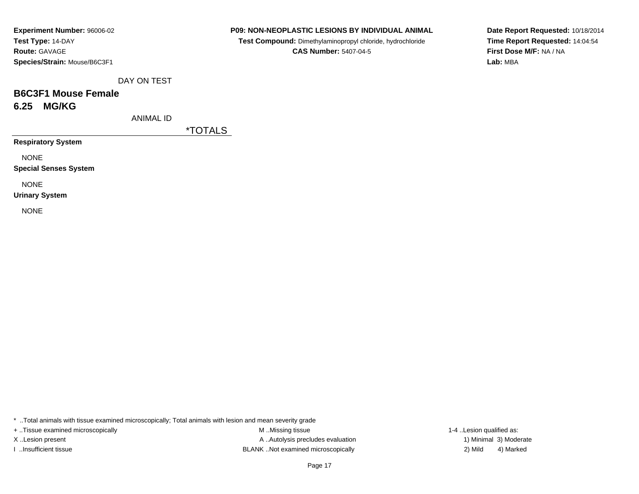## **P09: NON-NEOPLASTIC LESIONS BY INDIVIDUAL ANIMAL**

**Test Compound:** Dimethylaminopropyl chloride, hydrochloride**CAS Number:** 5407-04-5

**Date Report Requested:** 10/18/2014**Time Report Requested:** 14:04:54**First Dose M/F:** NA / NA**Lab:** MBA

DAY ON TEST

# **B6C3F1 Mouse Female6.25 MG/KG**

ANIMAL ID

\*TOTALS

**Respiratory System**

NONE

**Special Senses System**

NONE

**Urinary System**

NONE

\* ..Total animals with tissue examined microscopically; Total animals with lesion and mean severity grade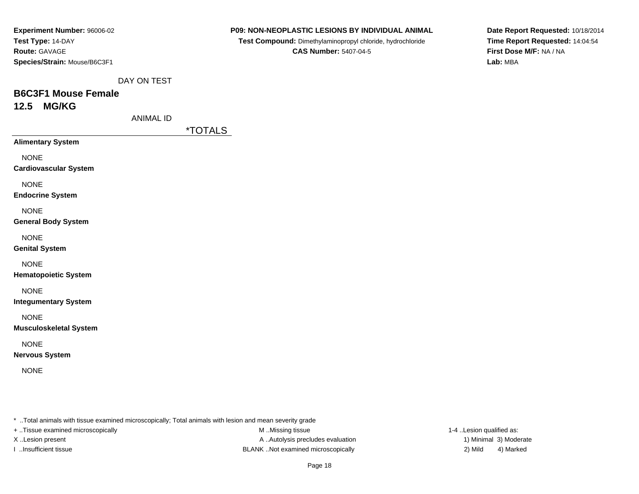| <b>Experiment Number: 96006-02</b> |
|------------------------------------|
| Test Type: 14-DAY                  |
| <b>Route: GAVAGE</b>               |
| Species/Strain: Mouse/B6C3F1       |

**Test Compound:** Dimethylaminopropyl chloride, hydrochloride**CAS Number:** 5407-04-5

**Date Report Requested:** 10/18/2014**Time Report Requested:** 14:04:54**First Dose M/F:** NA / NA**Lab:** MBA

DAY ON TEST

## **B6C3F1 Mouse Female12.5 MG/KG**

ANIMAL ID

\*TOTALS

**Alimentary System**

NONE

**Cardiovascular System**

NONE

**Endocrine System**

NONE

## **General Body System**

NONE

**Genital System**

NONE

**Hematopoietic System**

NONE

**Integumentary System**

NONE

**Musculoskeletal System**

NONE

**Nervous System**

NONE

\* ..Total animals with tissue examined microscopically; Total animals with lesion and mean severity grade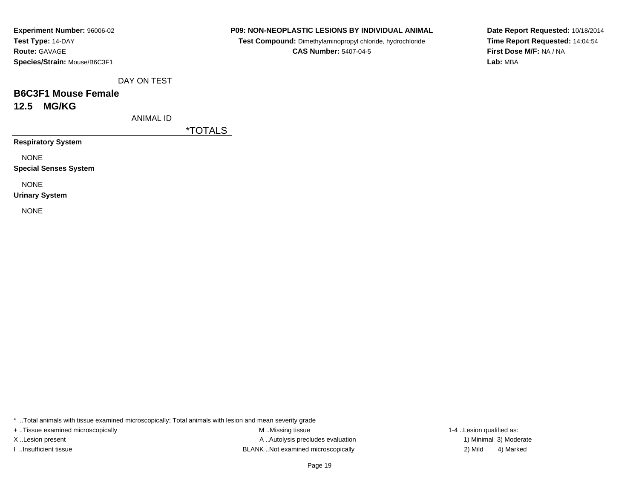## **P09: NON-NEOPLASTIC LESIONS BY INDIVIDUAL ANIMAL**

**Test Compound:** Dimethylaminopropyl chloride, hydrochloride**CAS Number:** 5407-04-5

**Date Report Requested:** 10/18/2014**Time Report Requested:** 14:04:54**First Dose M/F:** NA / NA**Lab:** MBA

DAY ON TEST

## **B6C3F1 Mouse Female12.5 MG/KG**

ANIMAL ID

\*TOTALS

**Respiratory System**

NONE

**Special Senses System**

NONE

**Urinary System**

NONE

\* ..Total animals with tissue examined microscopically; Total animals with lesion and mean severity grade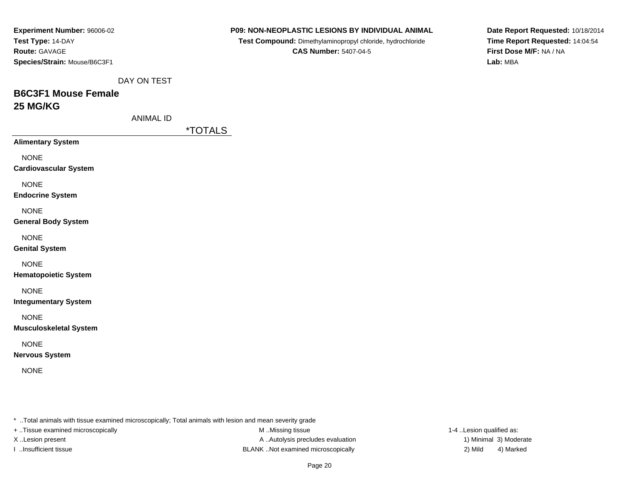| Experiment Number: 96006-02  |
|------------------------------|
| Test Type: 14-DAY            |
| <b>Route: GAVAGE</b>         |
| Species/Strain: Mouse/B6C3F1 |

**Test Compound:** Dimethylaminopropyl chloride, hydrochloride**CAS Number:** 5407-04-5

**Date Report Requested:** 10/18/2014**Time Report Requested:** 14:04:54**First Dose M/F:** NA / NA**Lab:** MBA

DAY ON TEST

# **B6C3F1 Mouse Female25 MG/KG**

ANIMAL ID

\*TOTALS

**Alimentary System**

NONE

**Cardiovascular System**

NONE

**Endocrine System**

NONE

**General Body System**

NONE

**Genital System**

NONE

**Hematopoietic System**

NONE

**Integumentary System**

NONE

**Musculoskeletal System**

NONE

**Nervous System**

NONE

\* ..Total animals with tissue examined microscopically; Total animals with lesion and mean severity grade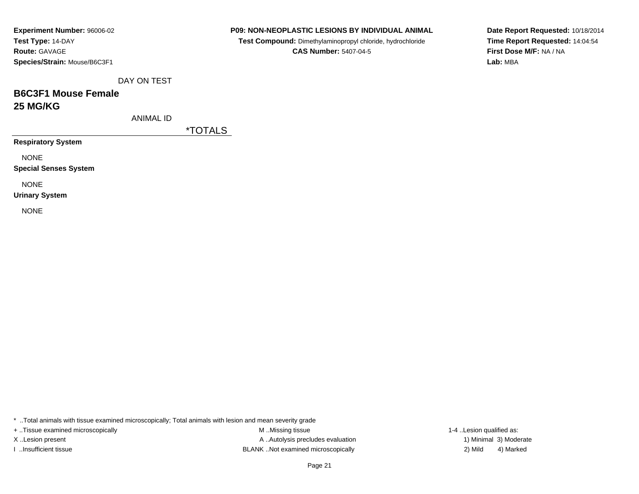| <b>Experiment Number: 96006-02</b> |
|------------------------------------|
| Test Type: 14-DAY                  |
| <b>Route: GAVAGE</b>               |
| Species/Strain: Mouse/B6C3F1       |

**Test Compound:** Dimethylaminopropyl chloride, hydrochloride**CAS Number:** 5407-04-5

**Date Report Requested:** 10/18/2014**Time Report Requested:** 14:04:54**First Dose M/F:** NA / NA**Lab:** MBA

DAY ON TEST

## **B6C3F1 Mouse Female25 MG/KG**

ANIMAL ID

\*TOTALS

**Respiratory System**

NONE

**Special Senses System**

NONE

**Urinary System**

NONE

\* ..Total animals with tissue examined microscopically; Total animals with lesion and mean severity grade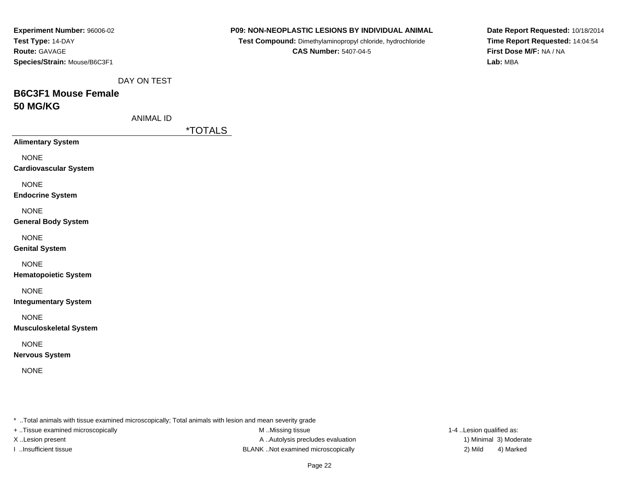| Experiment Number: 96006-02  |
|------------------------------|
| Test Type: 14-DAY            |
| <b>Route: GAVAGE</b>         |
| Species/Strain: Mouse/B6C3F1 |

**Test Compound:** Dimethylaminopropyl chloride, hydrochloride**CAS Number:** 5407-04-5

**Date Report Requested:** 10/18/2014**Time Report Requested:** 14:04:54**First Dose M/F:** NA / NA**Lab:** MBA

DAY ON TEST

# **B6C3F1 Mouse Female50 MG/KG**

ANIMAL ID

\*TOTALS

**Alimentary System**

NONE

**Cardiovascular System**

NONE

**Endocrine System**

NONE

### **General Body System**

NONE

**Genital System**

NONE

**Hematopoietic System**

NONE

**Integumentary System**

NONE

**Musculoskeletal System**

NONE

**Nervous System**

NONE

\* ..Total animals with tissue examined microscopically; Total animals with lesion and mean severity grade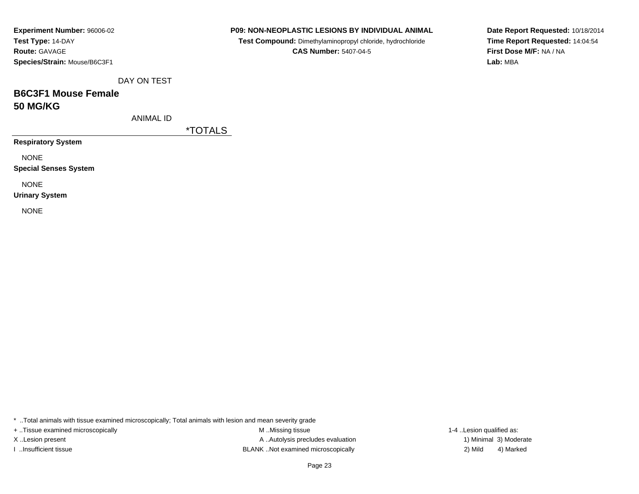| <b>Experiment Number: 96006-02</b> |
|------------------------------------|
| Test Type: 14-DAY                  |
| <b>Route: GAVAGE</b>               |
| Species/Strain: Mouse/B6C3F1       |

**Test Compound:** Dimethylaminopropyl chloride, hydrochloride**CAS Number:** 5407-04-5

**Date Report Requested:** 10/18/2014**Time Report Requested:** 14:04:54**First Dose M/F:** NA / NA**Lab:** MBA

DAY ON TEST

## **B6C3F1 Mouse Female50 MG/KG**

ANIMAL ID

\*TOTALS

**Respiratory System**

NONE

**Special Senses System**

NONE

**Urinary System**

NONE

\* ..Total animals with tissue examined microscopically; Total animals with lesion and mean severity grade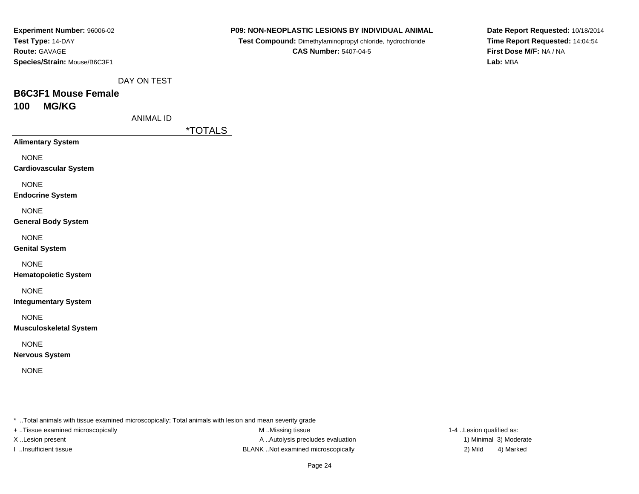| <b>Experiment Number: 96006-02</b> |
|------------------------------------|
| Test Type: 14-DAY                  |
| <b>Route: GAVAGE</b>               |
| Species/Strain: Mouse/B6C3F1       |

**Test Compound:** Dimethylaminopropyl chloride, hydrochloride**CAS Number:** 5407-04-5

**Date Report Requested:** 10/18/2014**Time Report Requested:** 14:04:54**First Dose M/F:** NA / NA**Lab:** MBA

DAY ON TEST

## **B6C3F1 Mouse Female100 MG/KG**

ANIMAL ID

\*TOTALS

**Alimentary System**

NONE

**Cardiovascular System**

NONE

**Endocrine System**

NONE

### **General Body System**

NONE

#### **Genital System**

NONE

### **Hematopoietic System**

NONE

**Integumentary System**

NONE

### **Musculoskeletal System**

NONE

### **Nervous System**

NONE

\* ..Total animals with tissue examined microscopically; Total animals with lesion and mean severity grade